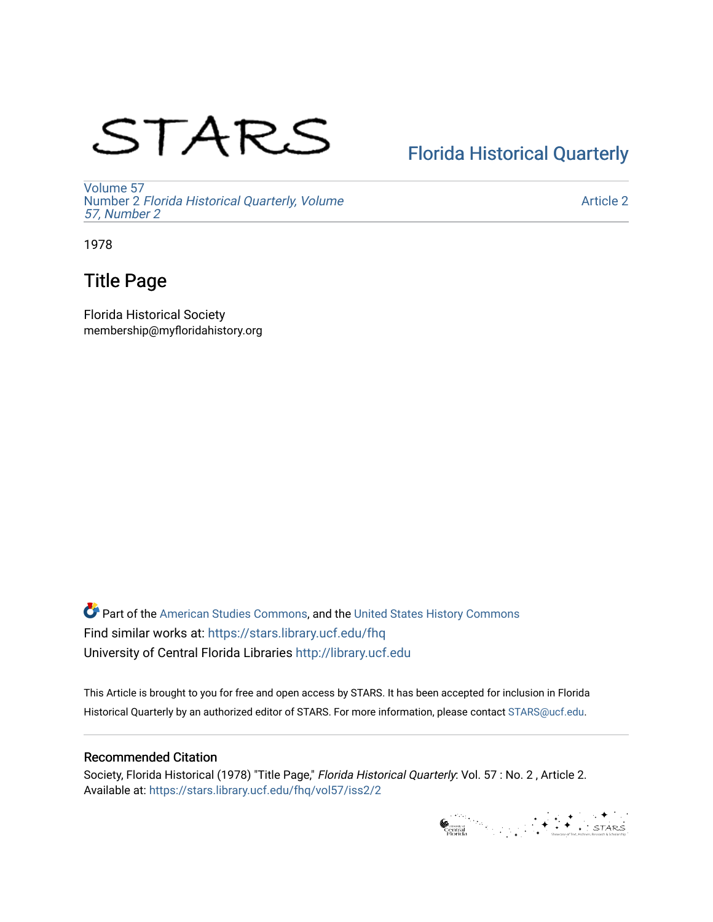# STARS

# [Florida Historical Quarterly](https://stars.library.ucf.edu/fhq)

[Volume 57](https://stars.library.ucf.edu/fhq/vol57) Number 2 [Florida Historical Quarterly, Volume](https://stars.library.ucf.edu/fhq/vol57/iss2)  [57, Number 2](https://stars.library.ucf.edu/fhq/vol57/iss2)

[Article 2](https://stars.library.ucf.edu/fhq/vol57/iss2/2) 

1978

# Title Page

Florida Historical Society membership@myfloridahistory.org

**C** Part of the [American Studies Commons](http://network.bepress.com/hgg/discipline/439?utm_source=stars.library.ucf.edu%2Ffhq%2Fvol57%2Fiss2%2F2&utm_medium=PDF&utm_campaign=PDFCoverPages), and the United States History Commons Find similar works at: <https://stars.library.ucf.edu/fhq> University of Central Florida Libraries [http://library.ucf.edu](http://library.ucf.edu/) 

This Article is brought to you for free and open access by STARS. It has been accepted for inclusion in Florida Historical Quarterly by an authorized editor of STARS. For more information, please contact [STARS@ucf.edu.](mailto:STARS@ucf.edu)

## Recommended Citation

Society, Florida Historical (1978) "Title Page," Florida Historical Quarterly: Vol. 57 : No. 2 , Article 2. Available at: [https://stars.library.ucf.edu/fhq/vol57/iss2/2](https://stars.library.ucf.edu/fhq/vol57/iss2/2?utm_source=stars.library.ucf.edu%2Ffhq%2Fvol57%2Fiss2%2F2&utm_medium=PDF&utm_campaign=PDFCoverPages) 

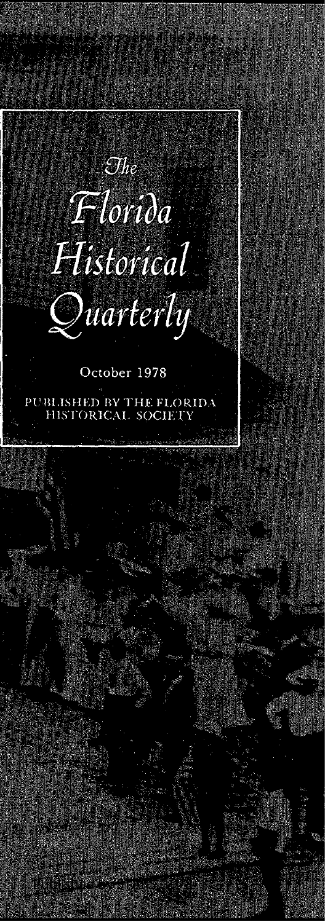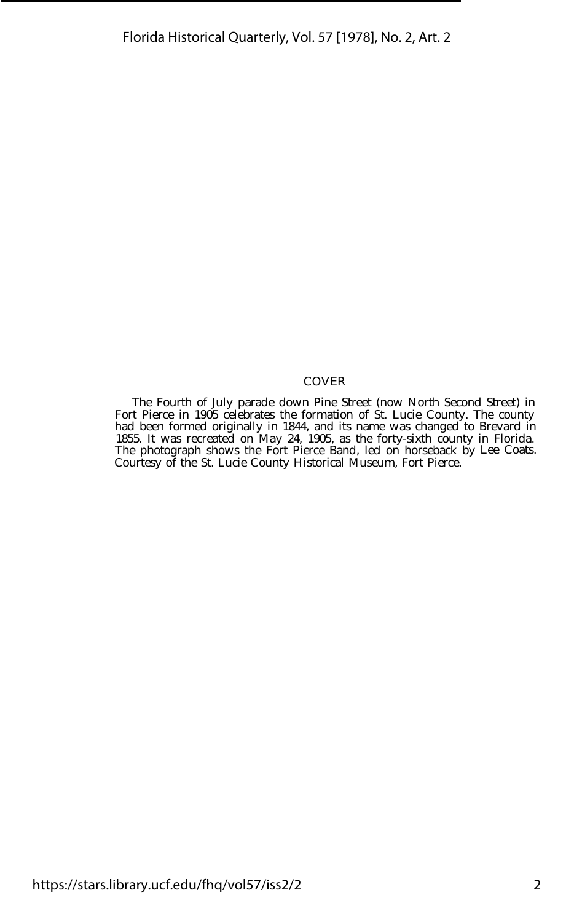#### COVER

The Fourth of July parade down Pine Street (now North Second Street) in Fort Pierce in 1905 celebrates the formation of St. Lucie County. The county had been formed originally in 1844, and its name was changed to Brevard in 1855. It was recreated on May 24, 1905, as the forty-sixth county in Florida. The photograph shows the Fort Pierce Band, led on horseback by Lee Coats. Courtesy of the St. Lucie County Historical Museum, Fort Pierce.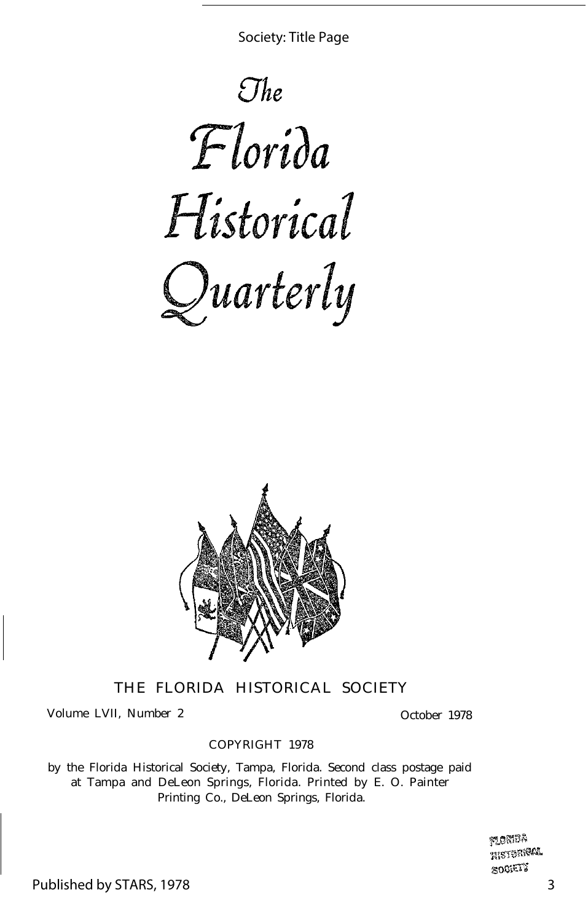Society: Title Page





THE FLORIDA HISTORICAL SOCIETY

Volume LVII, Number 2 October 1978

#### COPYRIGHT 1978

by the Florida Historical Society, Tampa, Florida. Second class postage paid at Tampa and DeLeon Springs, Florida. Printed by E. O. Painter Printing Co., DeLeon Springs, Florida.

> **MONDA HISTORICAL** SOCIETY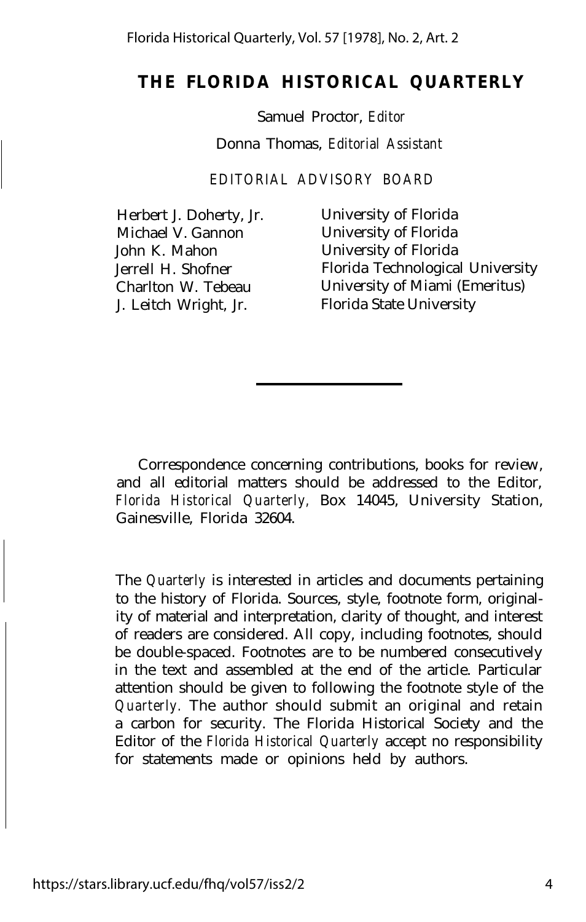## **THE FLORIDA HISTORICAL QUARTERLY**

Samuel Proctor, *Editor*

Donna Thomas, *Editorial Assistant*

*EDITORIAL ADVISORY BOARD* 

Herbert J. Doherty, Jr. University of Florida Michael V. Gannon University of Florida John K. Mahon University of Florida

Jerrell H. Shofner Florida Technological University Charlton W. Tebeau University of Miami (Emeritus) J. Leitch Wright, Jr. Florida State University

Correspondence concerning contributions, books for review, and all editorial matters should be addressed to the Editor, *Florida Historical Quarterly,* Box 14045, University Station, Gainesville, Florida 32604.

The *Quarterly* is interested in articles and documents pertaining to the history of Florida. Sources, style, footnote form, originality of material and interpretation, clarity of thought, and interest of readers are considered. All copy, including footnotes, should be double-spaced. Footnotes are to be numbered consecutively in the text and assembled at the end of the article. Particular attention should be given to following the footnote style of the *Quarterly.* The author should submit an original and retain a carbon for security. The Florida Historical Society and the Editor of the *Florida Historical Quarterly* accept no responsibility for statements made or opinions held by authors.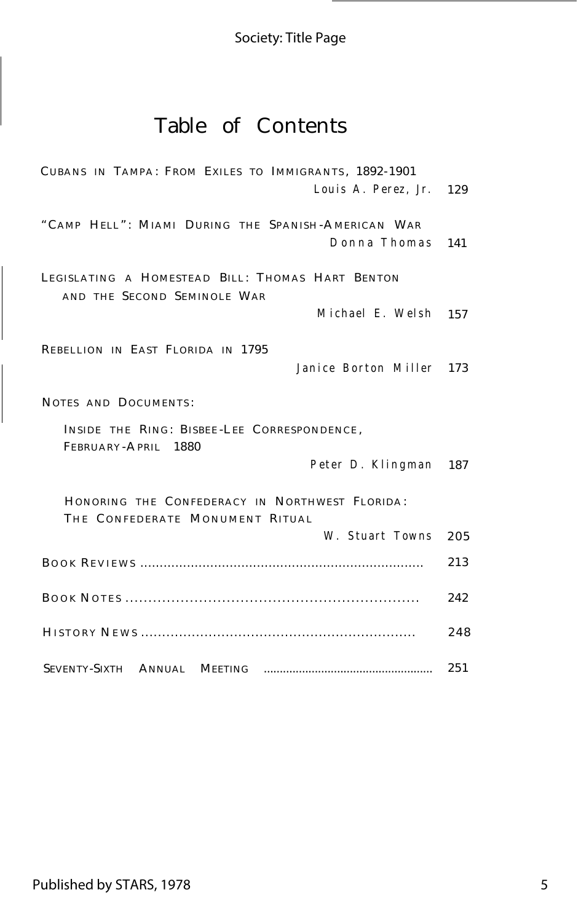## Society: Title Page

## Table of Contents

| CUBANS IN TAMPA: FROM EXILES TO IMMIGRANTS, 1892-1901                             |     |
|-----------------------------------------------------------------------------------|-----|
| Louis A. Perez, Jr. 129                                                           |     |
| "CAMP HELL": MIAMI DURING THE SPANISH-AMERICAN WAR                                |     |
| Donna Thomas                                                                      | 141 |
| LEGISLATING A HOMESTEAD BILL: THOMAS HART BENTON<br>AND THE SECOND SEMINOLE WAR   |     |
| Michael E. Welsh 157                                                              |     |
| REBELLION IN EAST FLORIDA IN 1795                                                 |     |
| Janice Borton Miller 173                                                          |     |
| NOTES AND DOCUMENTS:                                                              |     |
| INSIDE THE RING: BISBEE-LEE CORRESPONDENCE,<br>FEBRUARY-APRIL 1880                |     |
| Peter D. Klingman 187                                                             |     |
| HONORING THE CONFEDERACY IN NORTHWEST FLORIDA:<br>THE CONFEDERATE MONUMENT RITUAL |     |
| W. Stuart Towns                                                                   | 205 |
|                                                                                   | 213 |
|                                                                                   | 242 |
|                                                                                   | 248 |
|                                                                                   | 251 |